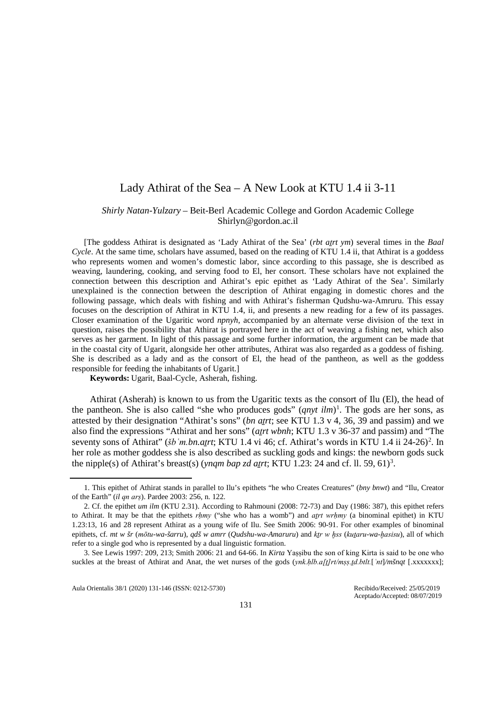# Lady Athirat of the Sea – A New Look at KTU 1.4 ii 3-11

# *Shirly Natan-Yulzary* – Beit-Berl Academic College and Gordon Academic College Shirlyn@gordon.ac.il

[The goddess Athirat is designated as 'Lady Athirat of the Sea' (*rbt aṯrt ym*) several times in the *Baal Cycle*. At the same time, scholars have assumed, based on the reading of KTU 1.4 ii, that Athirat is a goddess who represents women and women's domestic labor, since according to this passage, she is described as weaving, laundering, cooking, and serving food to El, her consort. These scholars have not explained the connection between this description and Athirat's epic epithet as 'Lady Athirat of the Sea'. Similarly unexplained is the connection between the description of Athirat engaging in domestic chores and the following passage, which deals with fishing and with Athirat's fisherman Qudshu-wa-Amruru. This essay focuses on the description of Athirat in KTU 1.4, ii, and presents a new reading for a few of its passages. Closer examination of the Ugaritic word *npnyh*, accompanied by an alternate verse division of the text in question, raises the possibility that Athirat is portrayed here in the act of weaving a fishing net, which also serves as her garment. In light of this passage and some further information, the argument can be made that in the coastal city of Ugarit, alongside her other attributes, Athirat was also regarded as a goddess of fishing. She is described as a lady and as the consort of El, the head of the pantheon, as well as the goddess responsible for feeding the inhabitants of Ugarit.]

**Keywords:** Ugarit, Baal-Cycle, Asherah, fishing.

Athirat (Asherah) is known to us from the Ugaritic texts as the consort of Ilu (El), the head of the pantheon. She is also called "she who produces gods"  $(qnyt \, ilm)^1$  $(qnyt \, ilm)^1$ . The gods are her sons, as attested by their designation "Athirat's sons" (*bn atrt*; see KTU 1.3 v 4, 36, 39 and passim) and we also find the expressions "Athirat and her sons" (*atrt wbnh*; KTU 1.3 v 36-37 and passim) and "The seventy sons of Athirat" (*šb 'm.bn.atrt*; KTU 1.4 vi 46; cf. Athirat's words in KTU 1.4 ii [2](#page-0-1)4-26)<sup>2</sup>. In her role as mother goddess she is also described as suckling gods and kings: the newborn gods suck the nipple(s) of Athirat's breast(s) (*ynqm bap zd atrt*; KTU 1.2[3](#page-0-2): 24 and cf. ll. 59, 61)<sup>3</sup>.

Aula Orientalis 38/1 (2020) 131-146 (ISSN: 0212-5730) Recibido/Received: 25/05/2019

<span id="page-0-0"></span> <sup>1.</sup> This epithet of Athirat stands in parallel to Ilu's epithets "he who Creates Creatures" (*bny bnwt*) and "Ilu, Creator of the Earth" (*il qn arṣ*). Pardee 2003: 256, n. 122.

<span id="page-0-1"></span><sup>2.</sup> Cf. the epithet *um ilm* (KTU 2.31). According to Rahmouni (2008: 72-73) and Day (1986: 387), this epithet refers to Athirat. It may be that the epithets *rhmy* ("she who has a womb") and *atrt wrhmy* (a binominal epithet) in KTU 1.23:13, 16 and 28 represent Athirat as a young wife of Ilu. See Smith 2006: 90-91. For other examples of binominal epithets, cf. *mt w šr* (*mōtu-wa-šarru*), *qdš w amrr* (*Qudshu-wa-Amaruru*) and *kṯr w ḫss* (*kuṯaru-wa-ḫasisu*), all of which refer to a single god who is represented by a dual linguistic formation.

<span id="page-0-2"></span><sup>3.</sup> See Lewis 1997: 209, 213; Smith 2006: 21 and 64-66. In *Kirta* Yaṣṣibu the son of king Kirta is said to be one who suckles at the breast of Athirat and Anat, the wet nurses of the gods (*ynk.hlb.a[t]rt/mss.td.btlt.*[*'nt*]/*mšnqt* [.xxxxxxx];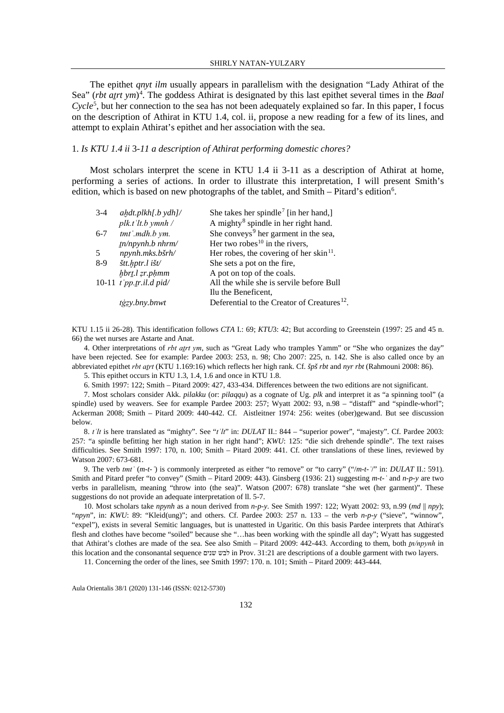The epithet *qnyt ilm* usually appears in parallelism with the designation "Lady Athirat of the Sea" (*rbt atrt ym*)<sup>[4](#page-1-0)</sup>. The goddess Athirat is designated by this last epithet several times in the *Baal Cycle*[5](#page-1-1) , but her connection to the sea has not been adequately explained so far. In this paper, I focus on the description of Athirat in KTU 1.4, col. ii, propose a new reading for a few of its lines, and attempt to explain Athirat's epithet and her association with the sea.

#### 1. *Is KTU 1.4 ii* 3*-11 a description of Athirat performing domestic chores?*

Most scholars interpret the scene in KTU 1.4 ii 3-11 as a description of Athirat at home, performing a series of actions. In order to illustrate this interpretation, I will present Smith's edition, which is based on new photographs of the tablet, and Smith - Pitard's edition<sup>6</sup>.

<span id="page-1-9"></span><span id="page-1-8"></span>

| $3-4$   | $ahdt$ .plkh $[$ .b ydh $]/$ | She takes her spindle <sup>7</sup> [in her hand,]       |
|---------|------------------------------|---------------------------------------------------------|
|         | $plk.t$ 'lt.b ymnh /         | A mighty <sup>8</sup> spindle in her right hand.        |
| $6 - 7$ | tmt'.mdh.b ym.               | She conveys <sup>9</sup> her garment in the sea,        |
|         | $tn/npynh.b\ nhrm/m/$        | Her two robes $10$ in the rivers,                       |
| -5      | npynh.mks.bšrh/              | Her robes, the covering of her skin <sup>11</sup> .     |
| $8-9$   | štt.hptr.l išt/              | She sets a pot on the fire,                             |
|         | hbrt.l zr.phmm               | A pot on top of the coals.                              |
|         | 10-11 $t$ 'pp.tr.il.d pid/   | All the while she is servile before Bull                |
|         |                              | Ilu the Beneficent,                                     |
|         | tġzy.bny.bnwt                | Deferential to the Creator of Creatures <sup>12</sup> . |

KTU 1.15 ii 26-28). This identification follows *CTA* I.: 69; *KTU*3: 42; But according to Greenstein (1997: 25 and 45 n. 66) the wet nurses are Astarte and Anat.

<span id="page-1-0"></span>4. Other interpretations of *rbt aṯrt ym*, such as "Great Lady who tramples Yamm" or "She who organizes the day" have been rejected. See for example: Pardee 2003: 253, n. 98; Cho 2007: 225, n. 142. She is also called once by an abbreviated epithet *rbt aṯrt* (KTU 1.169:16) which reflects her high rank. Cf. *špš rbt* and *nyr rbt* (Rahmouni 2008: 86).

5. This epithet occurs in KTU 1.3, 1.4, 1.6 and once in KTU 1.8.

6. Smith 1997: 122; Smith – Pitard 2009: 427, 433-434. Differences between the two editions are not significant.

<span id="page-1-3"></span><span id="page-1-2"></span><span id="page-1-1"></span>7. Most scholars consider Akk. *pilakku* (or: *pilaqqu*) as a cognate of Ug. *plk* and interpret it as "a spinning tool" (a spindle) used by weavers. See for example Pardee 2003: 257; Wyatt 2002: 93, n.98 – "distaff" and "spindle-whorl"; Ackerman 2008; Smith – Pitard 2009: 440-442. Cf. Aistleitner 1974: 256: weites (ober)gewand. But see discussion below.

<span id="page-1-4"></span>8. *tʿlt* is here translated as "mighty". See "*tʿlt*" in: *DULAT* II.: 844 – "superior power", "majesty". Cf. Pardee 2003: 257: "a spindle befitting her high station in her right hand"; *KWU*: 125: "die sich drehende spindle". The text raises difficulties. See Smith 1997: 170, n. 100; Smith – Pitard 2009: 441. Cf. other translations of these lines, reviewed by Watson 2007: 673-681.

<span id="page-1-5"></span>9. The verb *tmtʿ* (*m-t-ʿ*) is commonly interpreted as either "to remove" or "to carry" ("/*m-t-ʿ*/" in: *DULAT* II.: 591). Smith and Pitard prefer "to convey" (Smith – Pitard 2009: 443). Ginsberg (1936: 21) suggesting *m-t-ʿ* and *n-p-y* are two verbs in parallelism, meaning "throw into (the sea)". Watson (2007: 678) translate "she wet (her garment)". These suggestions do not provide an adequate interpretation of Il. 5-7.

<span id="page-1-6"></span>10. Most scholars take *npynh* as a noun derived from *n-p-y*. See Smith 1997: 122; Wyatt 2002: 93, n.99 (*md* || *npy*); "*npyn*", in: *KWU*: 89: "Kleid(ung)"; and others. Cf. Pardee 2003: 257 n. 133 – the verb *n-p-y* ("sieve", "winnow", "expel"), exists in several Semitic languages, but is unattested in Ugaritic. On this basis Pardee interprets that Athirat's flesh and clothes have become "soiled" because she "…has been working with the spindle all day"; Wyatt has suggested that Athirat's clothes are made of the sea. See also Smith – Pitard 2009: 442-443. According to them, both *tn/npynh* in this location and the consonantal sequence שנים לבש in Prov. 31:21 are descriptions of a double garment with two layers.

<span id="page-1-7"></span>11. Concerning the order of the lines, see Smith 1997: 170. n. 101; Smith – Pitard 2009: 443-444.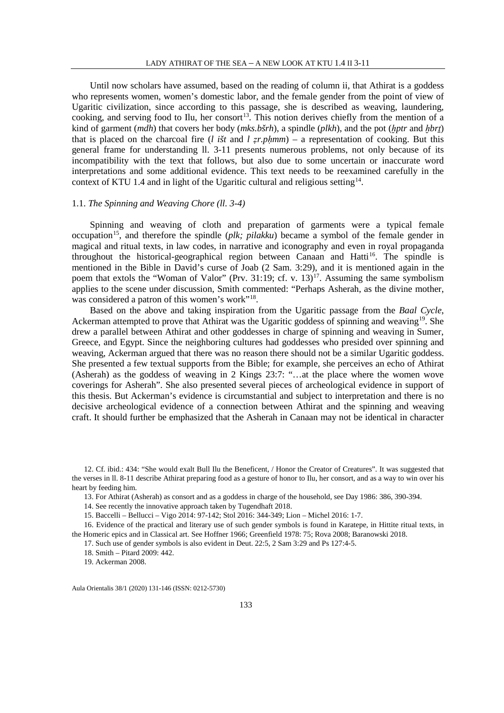Until now scholars have assumed, based on the reading of column ii, that Athirat is a goddess who represents women, women's domestic labor, and the female gender from the point of view of Ugaritic civilization, since according to this passage, she is described as weaving, laundering, cooking, and serving food to Ilu, her consort<sup>[13](#page-2-0)</sup>. This notion derives chiefly from the mention of a kind of garment (*mdh*) that covers her body (*mks.bšrh*), a spindle (*plkh*), and the pot (*ḫptr* and *ḫbrṯ*) that is placed on the charcoal fire (*l išt* and  $l$  *zr.phmm*) – a representation of cooking. But this general frame for understanding ll. 3-11 presents numerous problems, not only because of its incompatibility with the text that follows, but also due to some uncertain or inaccurate word interpretations and some additional evidence. This text needs to be reexamined carefully in the context of KTU 1.4 and in light of the Ugaritic cultural and religious setting<sup>14</sup>.

### 1.1. *The Spinning and Weaving Chore (ll. 3-4)*

Spinning and weaving of cloth and preparation of garments were a typical female occupation<sup>15</sup>, and therefore the spindle (*plk; pilakku*) became a symbol of the female gender in magical and ritual texts, in law codes, in narrative and iconography and even in royal propaganda throughout the historical-geographical region between Canaan and Hatti<sup>[16](#page-2-3)</sup>. The spindle is mentioned in the Bible in David's curse of Joab (2 Sam. 3:29), and it is mentioned again in the poem that extols the "Woman of Valor" (Prv. 31:19; cf. v. 13)<sup>17</sup>. Assuming the same symbolism applies to the scene under discussion, Smith commented: "Perhaps Asherah, as the divine mother, was considered a patron of this women's work"<sup>[18](#page-2-5)</sup>.

Based on the above and taking inspiration from the Ugaritic passage from the *Baal Cycle*, Ackerman attempted to prove that Athirat was the Ugaritic goddess of spinning and weaving[19](#page-2-6). She drew a parallel between Athirat and other goddesses in charge of spinning and weaving in Sumer, Greece, and Egypt. Since the neighboring cultures had goddesses who presided over spinning and weaving, Ackerman argued that there was no reason there should not be a similar Ugaritic goddess. She presented a few textual supports from the Bible; for example, she perceives an echo of Athirat (Asherah) as the goddess of weaving in 2 Kings 23:7: "…at the place where the women wove coverings for Asherah". She also presented several pieces of archeological evidence in support of this thesis. But Ackerman's evidence is circumstantial and subject to interpretation and there is no decisive archeological evidence of a connection between Athirat and the spinning and weaving craft. It should further be emphasized that the Asherah in Canaan may not be identical in character

17. Such use of gender symbols is also evident in Deut. 22:5, 2 Sam 3:29 and Ps 127:4-5.

19. Ackerman 2008.

<span id="page-2-0"></span><sup>12.</sup> Cf. ibid.: 434: "She would exalt Bull Ilu the Beneficent, / Honor the Creator of Creatures". It was suggested that the verses in ll. 8-11 describe Athirat preparing food as a gesture of honor to Ilu, her consort, and as a way to win over his heart by feeding him.

<sup>13.</sup> For Athirat (Asherah) as consort and as a goddess in charge of the household, see Day 1986: 386, 390-394.

<sup>14.</sup> See recently the innovative approach taken by Tugendhaft 2018.

<sup>15.</sup> Baccelli – Bellucci – Vigo 2014: 97-142; Stol 2016: 344-349; Lion – Michel 2016: 1-7.

<span id="page-2-6"></span><span id="page-2-5"></span><span id="page-2-4"></span><span id="page-2-3"></span><span id="page-2-2"></span><span id="page-2-1"></span><sup>16.</sup> Evidence of the practical and literary use of such gender symbols is found in Karatepe, in Hittite ritual texts, in the Homeric epics and in Classical art. See Hoffner 1966; Greenfield 1978: 75; Rova 2008; Baranowski 2018.

<sup>18.</sup> Smith – Pitard 2009: 442.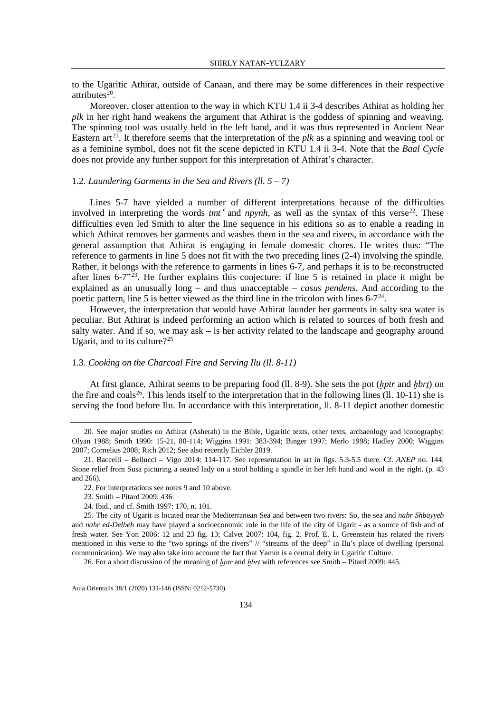to the Ugaritic Athirat, outside of Canaan, and there may be some differences in their respective attributes $^{20}$  $^{20}$  $^{20}$ .

Moreover, closer attention to the way in which KTU 1.4 ii 3-4 describes Athirat as holding her *plk* in her right hand weakens the argument that Athirat is the goddess of spinning and weaving. The spinning tool was usually held in the left hand, and it was thus represented in Ancient Near Eastern  $art^{21}$  $art^{21}$  $art^{21}$ . It therefore seems that the interpretation of the *plk* as a spinning and weaving tool or as a feminine symbol, does not fit the scene depicted in KTU 1.4 ii 3-4. Note that the *Baal Cycle* does not provide any further support for this interpretation of Athirat's character.

### 1.2. *Laundering Garments in the Sea and Rivers (ll. 5 – 7)*

Lines 5-7 have yielded a number of different interpretations because of the difficulties involved in interpreting the words  $tmt$ <sup>c</sup> and  $npynh$ , as well as the syntax of this verse<sup>22</sup>. These difficulties even led Smith to alter the line sequence in his editions so as to enable a reading in which Athirat removes her garments and washes them in the sea and rivers, in accordance with the general assumption that Athirat is engaging in female domestic chores. He writes thus: "The reference to garments in line 5 does not fit with the two preceding lines (2-4) involving the spindle. Rather, it belongs with the reference to garments in lines 6-7, and perhaps it is to be reconstructed after lines  $6-7^{32}$ . He further explains this conjecture: if line 5 is retained in place it might be explained as an unusually long – and thus unacceptable – *casus pendens*. And according to the poetic pattern, line 5 is better viewed as the third line in the tricolon with lines  $6-7<sup>24</sup>$ .

However, the interpretation that would have Athirat launder her garments in salty sea water is peculiar. But Athirat is indeed performing an action which is related to sources of both fresh and salty water. And if so, we may ask – is her activity related to the landscape and geography around Ugarit, and to its culture?<sup>[25](#page-3-5)</sup>

#### 1.3. *Cooking on the Charcoal Fire and Serving Ilu (ll. 8-11)*

At first glance, Athirat seems to be preparing food (ll. 8-9). She sets the pot (*ḫptr* and *ḫbrṯ*) on the fire and coals<sup>[26](#page-3-6)</sup>. This lends itself to the interpretation that in the following lines (ll. 10-11) she is serving the food before Ilu. In accordance with this interpretation, ll. 8-11 depict another domestic

<span id="page-3-0"></span> <sup>20.</sup> See major studies on Athirat (Asherah) in the Bible, Ugaritic texts, other texts, archaeology and iconography: Olyan 1988; Smith 1990: 15-21, 80-114; Wiggins 1991: 383-394; Binger 1997; Merlo 1998; Hadley 2000; Wiggins 2007; Cornelius 2008; Rich 2012; See also recently Eichler 2019.

<span id="page-3-1"></span><sup>21.</sup> Baccelli – Bellucci – Vigo 2014: 114-117. See representation in art in figs. 5.3-5.5 there. Cf. *ANEP* no. 144: Stone relief from Susa picturing a seated lady on a stool holding a spindle in her left hand and wool in the right. (p. 43 and 266).

<sup>22.</sup> For interpretations see note[s 9](#page-1-8) an[d 10](#page-1-9) above.

<sup>23.</sup> Smith – Pitard 2009: 436.

<sup>24.</sup> Ibid., and cf. Smith 1997: 170, n. 101.

<span id="page-3-5"></span><span id="page-3-4"></span><span id="page-3-3"></span><span id="page-3-2"></span><sup>25.</sup> The city of Ugarit is located near the Mediterranean Sea and between two rivers: So, the sea and *nahr Shbayyeb* and *nahr ed-Delbeh* may have played a socioeconomic role in the life of the city of Ugarit - as a source of fish and of fresh water. See Yon 2006: 12 and 23 fig. 13; Calvet 2007: 104, fig. 2. Prof. E. L. Greenstein has related the rivers mentioned in this verse to the "two springs of the rivers" // "streams of the deep" in Ilu's place of dwelling (personal communication). We may also take into account the fact that Yamm is a central deity in Ugaritic Culture.

<span id="page-3-6"></span><sup>26.</sup> For a short discussion of the meaning of *hptr* and *hbrt* with references see Smith – Pitard 2009: 445.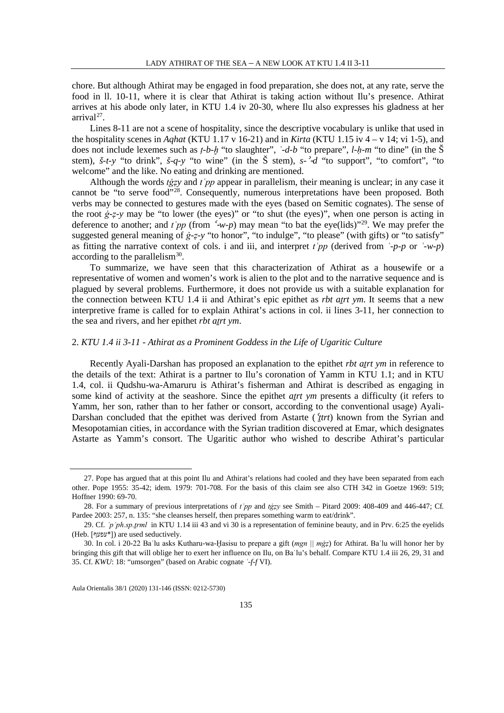chore. But although Athirat may be engaged in food preparation, she does not, at any rate, serve the food in ll. 10-11, where it is clear that Athirat is taking action without Ilu's presence. Athirat arrives at his abode only later, in KTU 1.4 iv 20-30, where Ilu also expresses his gladness at her  $arrival<sup>27</sup>$  $arrival<sup>27</sup>$  $arrival<sup>27</sup>$ .

Lines 8-11 are not a scene of hospitality, since the descriptive vocabulary is unlike that used in the hospitality scenes in *Aqhat* (KTU 1.17 v 16-21) and in *Kirta* (KTU 1.15 iv 4 – v 14; vi 1-5), and does not include lexemes such as *ṭ-b-ḫ* "to slaughter", *ʿ-d-b* "to prepare", *l-ḥ-m* "to dine" (in the Š stem), *š-t-y* "to drink", *š-q-y* "to wine" (in the Š stem), *s-*<sup>ʾ</sup>-*d* "to support", "to comfort", "to welcome" and the like. No eating and drinking are mentioned.

Although the words *tġẓy* and *tʿpp* appear in parallelism, their meaning is unclear; in any case it cannot be "to serve food"[28.](#page-4-1) Consequently, numerous interpretations have been proposed. Both verbs may be connected to gestures made with the eyes (based on Semitic cognates). The sense of the root *ġ-ẓ-y* may be "to lower (the eyes)" or "to shut (the eyes)", when one person is acting in deference to another; and  $t'pp$  (from  $\left(\frac{1}{2}w-p\right)$  may mean "to bat the eye(lids)"<sup>29</sup>. We may prefer the suggested general meaning of *ġ-ẓ-y* "to honor", "to indulge", "to please" (with gifts) or "to satisfy" as fitting the narrative context of cols. i and iii, and interpret  $t'pp$  (derived from  $\dot{\ }$ -*p-p* or  $\dot{\ }$ -*w-p*) according to the parallelism $30$ .

To summarize, we have seen that this characterization of Athirat as a housewife or a representative of women and women's work is alien to the plot and to the narrative sequence and is plagued by several problems. Furthermore, it does not provide us with a suitable explanation for the connection between KTU 1.4 ii and Athirat's epic epithet as *rbt aṯrt ym*. It seems that a new interpretive frame is called for to explain Athirat's actions in col. ii lines 3-11, her connection to the sea and rivers, and her epithet *rbt atrt ym*.

#### 2. *KTU 1.4 ii 3-11 - Athirat as a Prominent Goddess in the Life of Ugaritic Culture*

Recently Ayali-Darshan has proposed an explanation to the epithet *rbt aṯrt ym* in reference to the details of the text: Athirat is a partner to Ilu's coronation of Yamm in KTU 1.1; and in KTU 1.4, col. ii Qudshu-wa-Amaruru is Athirat's fisherman and Athirat is described as engaging in some kind of activity at the seashore. Since the epithet *atrt ym* presents a difficulty (it refers to Yamm, her son, rather than to her father or consort, according to the conventional usage) Ayali-Darshan concluded that the epithet was derived from Astarte (<sup>ʿ</sup>*ṯtrt*) known from the Syrian and Mesopotamian cities, in accordance with the Syrian tradition discovered at Emar, which designates Astarte as Yamm's consort. The Ugaritic author who wished to describe Athirat's particular

<span id="page-4-0"></span> <sup>27.</sup> Pope has argued that at this point Ilu and Athirat's relations had cooled and they have been separated from each other. Pope 1955: 35-42; idem. 1979: 701-708. For the basis of this claim see also CTH 342 in Goetze 1969: 519; Hoffner 1990: 69-70.

<span id="page-4-1"></span><sup>28.</sup> For a summary of previous interpretations of *tʿpp* and *tġẓy* see Smith – Pitard 2009: 408-409 and 446-447; Cf. Pardee 2003: 257, n. 135: "she cleanses herself, then prepares something warm to eat/drink".

<span id="page-4-2"></span><sup>29.</sup> Cf. *ʿpʿph.sp.ṯrml* in KTU 1.14 iii 43 and vi 30 is a representation of feminine beauty, and in Prv. 6:25 the eyelids (Heb. [שפעף]) are used seductively.

<span id="page-4-3"></span><sup>30.</sup> In col. i 20-22 Baʿlu asks Kutharu-wa-Ḫasisu to prepare a gift (*mgn || mġẓ*) for Athirat. Baʿlu will honor her by bringing this gift that will oblige her to exert her influence on Ilu, on Baʿlu's behalf. Compare KTU 1.4 iii 26, 29, 31 and 35. Cf. *KWU*: 18: "umsorgen" (based on Arabic cognate *ʿ-f-f* VI).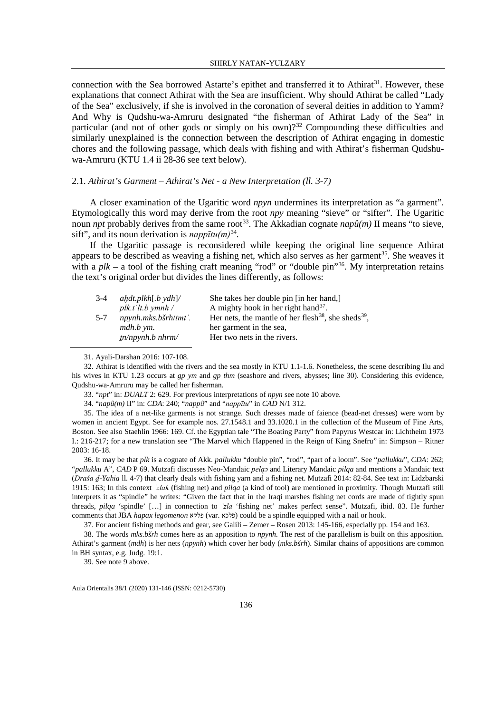connection with the Sea borrowed Astarte's epithet and transferred it to Athirat<sup>[31](#page-5-0)</sup>. However, these explanations that connect Athirat with the Sea are insufficient. Why should Athirat be called "Lady of the Sea" exclusively, if she is involved in the coronation of several deities in addition to Yamm? And Why is Qudshu-wa-Amruru designated "the fisherman of Athirat Lady of the Sea" in particular (and not of other gods or simply on his own)?<sup>[32](#page-5-1)</sup> Compounding these difficulties and similarly unexplained is the connection between the description of Athirat engaging in domestic chores and the following passage, which deals with fishing and with Athirat's fisherman Qudshuwa-Amruru (KTU 1.4 ii 28-36 see text below).

#### 2.1. *Athirat's Garment – Athirat's Net - a New Interpretation (ll. 3-7)*

A closer examination of the Ugaritic word *npyn* undermines its interpretation as "a garment". Etymologically this word may derive from the root *npy* meaning "sieve" or "sifter"*.* The Ugaritic noun *npt* probably derives from the same root<sup>33</sup>. The Akkadian cognate  $nap\hat{u}(m)$  II means "to sieve, sift", and its noun derivation is  $nap\nu\bar{t}u(m)^{34}$  $nap\nu\bar{t}u(m)^{34}$  $nap\nu\bar{t}u(m)^{34}$ .

If the Ugaritic passage is reconsidered while keeping the original line sequence Athirat appears to be described as weaving a fishing net, which also serves as her garment<sup>35</sup>. She weaves it with a  $plk - a$  tool of the fishing craft meaning "rod" or "double pin"<sup>[36](#page-5-5)</sup>. My interpretation retains the text's original order but divides the lines differently, as follows:

| $3-4$   | ahdt.plkh[.b ydh]/             | She takes her double pin [in her hand,]                                     |
|---------|--------------------------------|-----------------------------------------------------------------------------|
|         | $plk.t$ 'lt.b ymnh /           | A mighty hook in her right hand $37$ .                                      |
| $5 - 7$ | $npynh.mks.b\check{s}rh/tmt'.$ | Her nets, the mantle of her flesh <sup>38</sup> , she sheds <sup>39</sup> , |
|         | mdh.b ym.                      | her garment in the sea,                                                     |
|         | $tn/npynh.b\ nhrm/m/$          | Her two nets in the rivers.                                                 |

31. Ayali-Darshan 2016: 107-108.

<span id="page-5-1"></span><span id="page-5-0"></span>32. Athirat is identified with the rivers and the sea mostly in KTU 1.1-1.6. Nonetheless, the scene describing Ilu and his wives in KTU 1.23 occurs at *gp ym* and *gp thm* (seashore and rivers, abysses; line 30). Considering this evidence, Qudshu-wa-Amruru may be called her fisherman.

33. "*npt*" in: *DUALT* 2: 629. For previous interpretations of *npyn* see not[e 10](#page-1-9) above.

34. "*napû(m)* II" in: *CDA*: 240; "*nappû*" and "*nappītu*" in *CAD* N/1 312.

<span id="page-5-4"></span><span id="page-5-3"></span><span id="page-5-2"></span>35. The idea of a net-like garments is not strange. Such dresses made of faience (bead-net dresses) were worn by women in ancient Egypt. See for example nos. 27.1548.1 and 33.1020.1 in the collection of the Museum of Fine Arts, Boston. See also Staehlin 1966: 169. Cf. the Egyptian tale "The Boating Party" from Papyrus Westcar in: Lichtheim 1973 I.: 216-217; for a new translation see "The Marvel which Happened in the Reign of King Snefru" in: Simpson – Ritner 2003: 16-18.

<span id="page-5-5"></span>36. It may be that *plk* is a cognate of Akk. *pallukku* "double pin", "rod", "part of a loom". See "*pallukku*", *CDA*: 262; "*pallukku* A", *CAD* P 69. Mutzafi discusses Neo-Mandaic *pelqɔ* and Literary Mandaic *pilqa* and mentions a Mandaic text (*Draša ḏ-Yahia* ll. 4-7) that clearly deals with fishing yarn and a fishing net. Mutzafi 2014: 82-84. See text in: Lidzbarski 1915: 163; In this context *ʿzlak* (fishing net) and *pilqa* (a kind of tool) are mentioned in proximity. Though Mutzafi still interprets it as "spindle" he writes: "Given the fact that in the Iraqi marshes fishing net cords are made of tightly spun threads, *pilqa* 'spindle' […] in connection to *ʿzla* 'fishing net' makes perfect sense". Mutzafi, ibid. 83. He further comments that JBA *hapax legomenon* פלקא) var. פלכא (could be a spindle equipped with a nail or hook.

37. For ancient fishing methods and gear, see Galili – Zemer – Rosen 2013: 145-166, especially pp. 154 and 163.

<span id="page-5-8"></span><span id="page-5-7"></span><span id="page-5-6"></span>38. The words *mks.bšrh* comes here as an apposition to *npynh.* The rest of the parallelism is built on this apposition. Athirat's garment (*mdh*) is her nets (*npynh*) which cover her body (*mks.bšrh*). Similar chains of appositions are common in BH syntax, e.g. Judg. 19:1.

39. See note 9 above.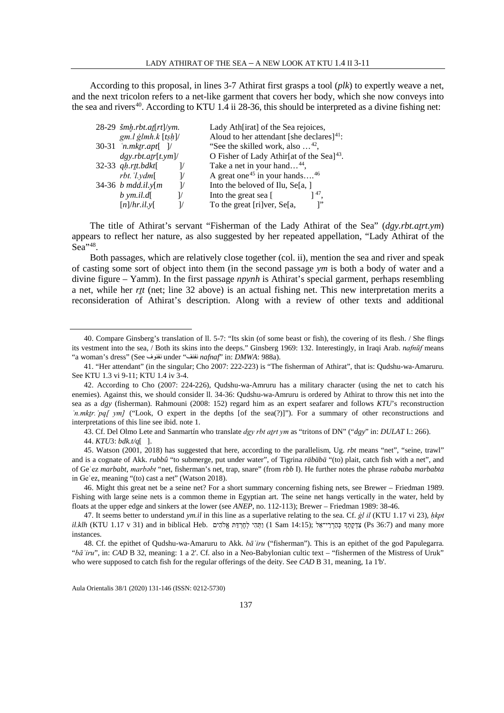According to this proposal, in lines 3-7 Athirat first grasps a tool (*plk*) to expertly weave a net, and the next tricolon refers to a net-like garment that covers her body, which she now conveys into the sea and rivers<sup>40</sup>. According to KTU 1.4 ii 28-36, this should be interpreted as a divine fishing net:

| 28-29 šmh.rbt.at[rt]/ym.                       | Lady Ath[irat] of the Sea rejoices,                   |
|------------------------------------------------|-------------------------------------------------------|
| $gm.l$ glmh. $k$ [tsh]/                        | Aloud to her attendant [she declares] $41$ :          |
| 30-31 $'n.mktr.apt[$ ]/                        | "See the skilled work, also $\dots$ <sup>42</sup> ,   |
| dgy.rbt. atr[t, ym]                            | O Fisher of Lady Athir[at of the Sea] <sup>43</sup> . |
| 32-33 qh.rtt.bdkt[                             | Take a net in your hand <sup>44</sup> ,               |
| $rbt.$ ' $l. ydm$ [                            | A great one <sup>45</sup> in your hands <sup>46</sup> |
| 34-36 <i>b</i> mdd.il. $y[m]$<br>$\frac{1}{2}$ | Into the beloved of Ilu, Se[a, ]                      |
| $b$ ym.il.d[<br>$\frac{1}{2}$                  | Into the great sea [<br>$1^{47}$                      |
| $[n]/hr$ .il.y                                 | To the great [ri]ver, Se[a,                           |

The title of Athirat's servant "Fisherman of the Lady Athirat of the Sea" (*dgy.rbt.aṯrt.ym*) appears to reflect her nature, as also suggested by her repeated appellation, "Lady Athirat of the  $S<sub>ea</sub>$ <sup>3[48](#page-6-8)</sup>

Both passages, which are relatively close together (col. ii), mention the sea and river and speak of casting some sort of object into them (in the second passage *ym* is both a body of water and a divine figure – Yamm). In the first passage *npynh* is Athirat's special garment, perhaps resembling a net, while her *rṯt* (net; line 32 above) is an actual fishing net. This new interpretation merits a reconsideration of Athirat's description. Along with a review of other texts and additional

<span id="page-6-0"></span> <sup>40.</sup> Compare Ginsberg's translation of ll. 5-7: "Its skin (of some beast or fish), the covering of its flesh. / She flings its vestment into the sea, / Both its skins into the deeps." Ginsberg 1969: 132. Interestingly, in Iraqi Arab. *nafnūf* means "a woman's dress" (See نفنوف under "نفنف *nafnaf*" in: *DMWA*: 988a).

<span id="page-6-1"></span><sup>41.</sup> "Her attendant" (in the singular; Cho 2007: 222-223) is "The fisherman of Athirat", that is: Qudshu-wa-Amaruru. See KTU 1.3 vi 9-11; KTU 1.4 iv 3-4.

<span id="page-6-2"></span><sup>42.</sup> According to Cho (2007: 224-226), Qudshu-wa-Amruru has a military character (using the net to catch his enemies). Against this, we should consider ll. 34-36: Qudshu-wa-Amruru is ordered by Athirat to throw this net into the sea as a *dgy* (fisherman). Rahmouni (2008: 152) regard him as an expert seafarer and follows *KTU*'s reconstruction *'n.mktr.'pq[ ym]* ("Look, O expert in the depths [of the sea(?)]"). For a summary of other reconstructions and interpretations of this line see ibid. note 1.

<sup>43.</sup> Cf. Del Olmo Lete and Sanmartín who translate *dgy rbt aṯrt ym* as "tritons of DN" ("*dgy*" in: *DULAT* I.: 266).

<sup>44.</sup> *KTU*3: *bdk.t/q*[ ].

<span id="page-6-5"></span><span id="page-6-4"></span><span id="page-6-3"></span><sup>45.</sup> Watson (2001, 2018) has suggested that here, according to the parallelism, Ug. *rbt* means "net", "seine, trawl" and is a cognate of Akk. *rubbû* "to submerge, put under water", of Tigrina *räbäbä* "(to) plait, catch fish with a net", and of Geʿez *marbabt*, *marbǝbt* "net, fisherman's net, trap, snare" (from *rbb* I). He further notes the phrase *rababa marbabta* in Geʿez, meaning "(to) cast a net" (Watson 2018).

<span id="page-6-6"></span><sup>46.</sup> Might this great net be a seine net? For a short summary concerning fishing nets, see Brewer – Friedman 1989. Fishing with large seine nets is a common theme in Egyptian art. The seine net hangs vertically in the water, held by floats at the upper edge and sinkers at the lower (see *ANEP*, no. 112-113); Brewer – Friedman 1989: 38-46.

<span id="page-6-7"></span><sup>47.</sup> It seems better to understand *ym.il* in this line as a superlative relating to the sea. Cf. *ġl il* (KTU 1.17 vi 23), *ḥkpt*  more (Ps 36:7) Ps (14:15 בהרי־אל (14:15 Sam 14:15) (וַתְּהֵי לְחַרְדָּת אֲלֹהָים (15 Sam 14:15) (Aklh. instances.

<span id="page-6-8"></span><sup>48.</sup> Cf. the epithet of Qudshu-wa-Amaruru to Akk. *bāʾiru* ("fisherman"). This is an epithet of the god Papulegarra. "*bāʾiru*", in: *CAD* B 32, meaning: 1 a 2'. Cf. also in a Neo-Babylonian cultic text – "fishermen of the Mistress of Uruk" who were supposed to catch fish for the regular offerings of the deity. See *CAD* B 31, meaning, 1a 1'b'.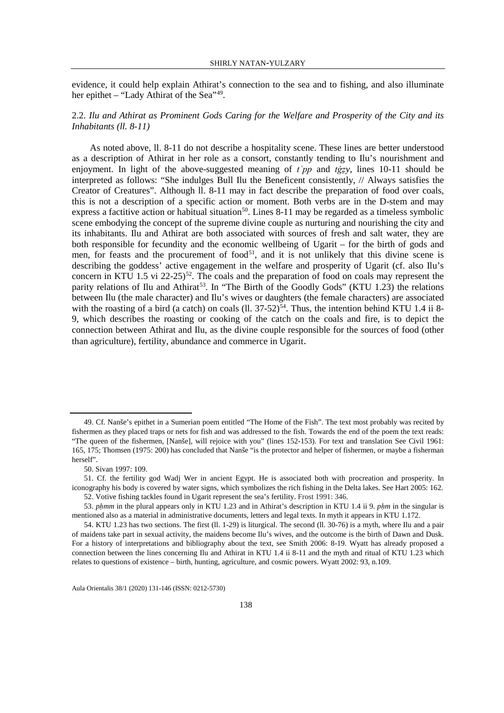evidence, it could help explain Athirat's connection to the sea and to fishing, and also illuminate her epithet – "Lady Athirat of the Sea"<sup>[49](#page-7-0)</sup>.

# 2.2. *Ilu and Athirat as Prominent Gods Caring for the Welfare and Prosperity of the City and its Inhabitants (ll. 8-11)*

As noted above, ll. 8-11 do not describe a hospitality scene. These lines are better understood as a description of Athirat in her role as a consort, constantly tending to Ilu's nourishment and enjoyment. In light of the above-suggested meaning of  $t'pp$  and  $tgz$ , lines 10-11 should be interpreted as follows: "She indulges Bull Ilu the Beneficent consistently, // Always satisfies the Creator of Creatures". Although ll. 8-11 may in fact describe the preparation of food over coals, this is not a description of a specific action or moment. Both verbs are in the D-stem and may express a factitive action or habitual situation<sup>50</sup>. Lines 8-11 may be regarded as a timeless symbolic scene embodying the concept of the supreme divine couple as nurturing and nourishing the city and its inhabitants. Ilu and Athirat are both associated with sources of fresh and salt water, they are both responsible for fecundity and the economic wellbeing of Ugarit – for the birth of gods and men, for feasts and the procurement of food<sup>51</sup>, and it is not unlikely that this divine scene is describing the goddess' active engagement in the welfare and prosperity of Ugarit (cf. also Ilu's concern in KTU 1.5 vi  $22-25$ <sup>52</sup>. The coals and the preparation of food on coals may represent the parity relations of Ilu and Athirat<sup>53</sup>. In "The Birth of the Goodly Gods" (KTU 1.23) the relations between Ilu (the male character) and Ilu's wives or daughters (the female characters) are associated with the roasting of a bird (a catch) on coals (ll.  $37-52$ )<sup>54</sup>. Thus, the intention behind KTU 1.4 ii 8-9, which describes the roasting or cooking of the catch on the coals and fire, is to depict the connection between Athirat and Ilu, as the divine couple responsible for the sources of food (other than agriculture), fertility, abundance and commerce in Ugarit.

<span id="page-7-0"></span> <sup>49.</sup> Cf. Nanše's epithet in a Sumerian poem entitled "The Home of the Fish". The text most probably was recited by fishermen as they placed traps or nets for fish and was addressed to the fish. Towards the end of the poem the text reads: "The queen of the fishermen, [Nanše], will rejoice with you" (lines 152-153). For text and translation See Civil 1961: 165, 175; Thomsen (1975: 200) has concluded that Nanše "is the protector and helper of fishermen, or maybe a fisherman herself".

<sup>50.</sup> Sivan 1997: 109.

<span id="page-7-2"></span><span id="page-7-1"></span><sup>51.</sup> Cf. the fertility god Wadj Wer in ancient Egypt. He is associated both with procreation and prosperity. In iconography his body is covered by water signs, which symbolizes the rich fishing in the Delta lakes. See Hart 2005: 162. 52. Votive fishing tackles found in Ugarit represent the sea's fertility. Frost 1991: 346.

<span id="page-7-4"></span><span id="page-7-3"></span><sup>53.</sup> *pḥmm* in the plural appears only in KTU 1.23 and in Athirat's description in KTU 1.4 ii 9. *pḥm* in the singular is mentioned also as a material in administrative documents, letters and legal texts. In myth it appears in KTU 1.172.

<span id="page-7-5"></span><sup>54.</sup> KTU 1.23 has two sections. The first (ll. 1-29) is liturgical. The second (ll. 30-76) is a myth, where Ilu and a pair of maidens take part in sexual activity, the maidens become Ilu's wives, and the outcome is the birth of Dawn and Dusk. For a history of interpretations and bibliography about the text, see Smith 2006: 8-19. Wyatt has already proposed a connection between the lines concerning Ilu and Athirat in KTU 1.4 ii 8-11 and the myth and ritual of KTU 1.23 which relates to questions of existence – birth, hunting, agriculture, and cosmic powers. Wyatt 2002: 93, n.109.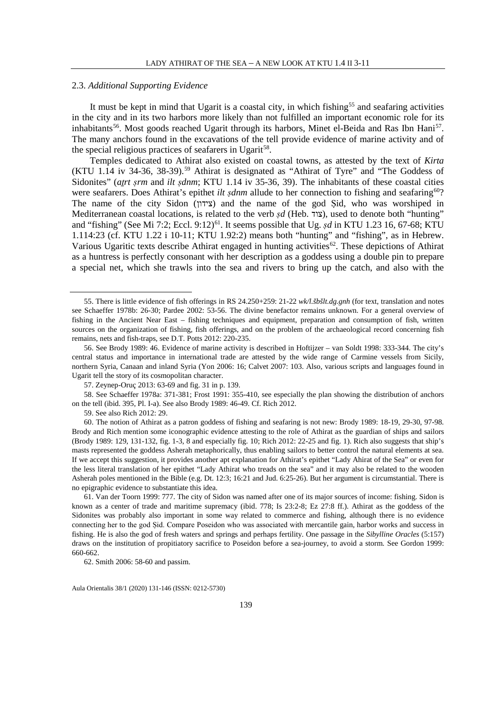#### 2.3. *Additional Supporting Evidence*

It must be kept in mind that Ugarit is a coastal city, in which fishing<sup>[55](#page-8-0)</sup> and seafaring activities in the city and in its two harbors more likely than not fulfilled an important economic role for its inhabitants<sup>56</sup>. Most goods reached Ugarit through its harbors, Minet el-Beida and Ras Ibn Hani<sup>57</sup>. The many anchors found in the excavations of the tell provide evidence of marine activity and of the special religious practices of seafarers in Ugarit<sup>[58](#page-8-3)</sup>.

Temples dedicated to Athirat also existed on coastal towns, as attested by the text of *Kirta*  $(KTU)$  1.14 iv 34-36, 38-39).<sup>[59](#page-8-4)</sup> Athirat is designated as "Athirat of Tyre" and "The Goddess of Sidonites" (*atrt srm* and *ilt sdnm*; KTU 1.14 iv 35-36, 39). The inhabitants of these coastal cities were seafarers. Does Athirat's epithet *ilt sdnm* allude to her connection to fishing and seafaring<sup>[60](#page-8-5)</sup>? The name of the city Sidon (צידון) and the name of the god Sid, who was worshiped in Mediterranean coastal locations, is related to the verb *sd* (Heb. צוד), used to denote both "hunting" and "fishing" (See Mi 7:2; Eccl. 9:12)<sup>61</sup>. It seems possible that Ug. *șd* in KTU 1.23 16, 67-68; KTU 1.114:23 (cf. KTU 1.22 i 10-11; KTU 1.92:2) means both "hunting" and "fishing", as in Hebrew. Various Ugaritic texts describe Athirat engaged in hunting activities<sup>62</sup>. These depictions of Athirat as a huntress is perfectly consonant with her description as a goddess using a double pin to prepare a special net, which she trawls into the sea and rivers to bring up the catch, and also with the

<span id="page-8-3"></span><span id="page-8-2"></span>58. See Schaeffer 1978a: 371-381; Frost 1991: 355-410, see especially the plan showing the distribution of anchors on the tell (ibid. 395, Pl. I-a). See also Brody 1989: 46-49. Cf. Rich 2012.

59. See also Rich 2012: 29.

<span id="page-8-5"></span><span id="page-8-4"></span>60. The notion of Athirat as a patron goddess of fishing and seafaring is not new: Brody 1989: 18-19, 29-30, 97-98. Brody and Rich mention some iconographic evidence attesting to the role of Athirat as the guardian of ships and sailors (Brody 1989: 129, 131-132, fig. 1-3, 8 and especially fig. 10; Rich 2012: 22-25 and fig. 1). Rich also suggests that ship's masts represented the goddess Asherah metaphorically, thus enabling sailors to better control the natural elements at sea. If we accept this suggestion, it provides another apt explanation for Athirat's epithet "Lady Ahirat of the Sea" or even for the less literal translation of her epithet "Lady Athirat who treads on the sea" and it may also be related to the wooden Asherah poles mentioned in the Bible (e.g. Dt. 12:3; 16:21 and Jud. 6:25-26). But her argument is circumstantial. There is no epigraphic evidence to substantiate this idea.

<span id="page-8-6"></span>61. Van der Toorn 1999: 777. The city of Sidon was named after one of its major sources of income: fishing. Sidon is known as a center of trade and maritime supremacy (ibid. 778; Is 23:2-8; Ez 27:8 ff.). Athirat as the goddess of the Sidonites was probably also important in some way related to commerce and fishing, although there is no evidence connecting her to the god Ṣid. Compare Poseidon who was associated with mercantile gain, harbor works and success in fishing. He is also the god of fresh waters and springs and perhaps fertility. One passage in the *Sibylline Oracles* (5:157) draws on the institution of propitiatory sacrifice to Poseidon before a sea-journey, to avoid a storm. See Gordon 1999: 660-662.

<span id="page-8-7"></span>62. Smith 2006: 58-60 and passim.

<span id="page-8-0"></span> <sup>55.</sup> There is little evidence of fish offerings in RS 24.250+259: 21-22 *wk/l.šbšlt.dg.gnh* (for text, translation and notes see Schaeffer 1978b: 26-30; Pardee 2002: 53-56. The divine benefactor remains unknown. For a general overview of fishing in the Ancient Near East – fishing techniques and equipment, preparation and consumption of fish, written sources on the organization of fishing, fish offerings, and on the problem of the archaeological record concerning fish remains, nets and fish-traps, see D.T. Potts 2012: 220-235.

<span id="page-8-1"></span><sup>56.</sup> See Brody 1989: 46. Evidence of marine activity is described in Hoftijzer – van Soldt 1998: 333-344. The city's central status and importance in international trade are attested by the wide range of Carmine vessels from Sicily, northern Syria, Canaan and inland Syria (Yon 2006: 16; Calvet 2007: 103. Also, various scripts and languages found in Ugarit tell the story of its cosmopolitan character.

<sup>57.</sup> Zeynep-Oruç 2013: 63-69 and fig. 31 in p. 139.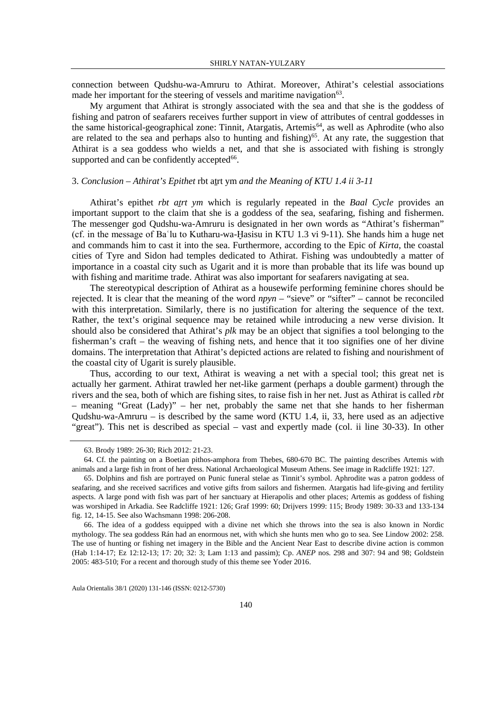connection between Qudshu-wa-Amruru to Athirat. Moreover, Athirat's celestial associations made her important for the steering of vessels and maritime navigation $63$ .

My argument that Athirat is strongly associated with the sea and that she is the goddess of fishing and patron of seafarers receives further support in view of attributes of central goddesses in the same historical-geographical zone: Tinnit, Atargatis, Artemis<sup>64</sup>, as well as Aphrodite (who also are related to the sea and perhaps also to hunting and fishing)<sup>[65](#page-9-2)</sup>. At any rate, the suggestion that Athirat is a sea goddess who wields a net, and that she is associated with fishing is strongly supported and can be confidently accepted<sup>66</sup>.

### 3. *Conclusion – Athirat's Epithet* rbt aṯrt ym *and the Meaning of KTU 1.4 ii 3-11*

Athirat's epithet *rbt atrt ym* which is regularly repeated in the *Baal Cycle* provides an important support to the claim that she is a goddess of the sea, seafaring, fishing and fishermen. The messenger god Qudshu-wa-Amruru is designated in her own words as "Athirat's fisherman" (cf. in the message of Baʿlu to Kutharu-wa-Ḫasisu in KTU 1.3 vi 9-11). She hands him a huge net and commands him to cast it into the sea. Furthermore, according to the Epic of *Kirta*, the coastal cities of Tyre and Sidon had temples dedicated to Athirat. Fishing was undoubtedly a matter of importance in a coastal city such as Ugarit and it is more than probable that its life was bound up with fishing and maritime trade. Athirat was also important for seafarers navigating at sea.

The stereotypical description of Athirat as a housewife performing feminine chores should be rejected. It is clear that the meaning of the word *npyn* – "sieve" or "sifter" – cannot be reconciled with this interpretation. Similarly, there is no justification for altering the sequence of the text. Rather, the text's original sequence may be retained while introducing a new verse division. It should also be considered that Athirat's *plk* may be an object that signifies a tool belonging to the fisherman's craft – the weaving of fishing nets, and hence that it too signifies one of her divine domains. The interpretation that Athirat's depicted actions are related to fishing and nourishment of the coastal city of Ugarit is surely plausible.

Thus, according to our text, Athirat is weaving a net with a special tool; this great net is actually her garment. Athirat trawled her net-like garment (perhaps a double garment) through the rivers and the sea, both of which are fishing sites, to raise fish in her net. Just as Athirat is called *rbt* – meaning "Great (Lady)" – her net, probably the same net that she hands to her fisherman Qudshu-wa-Amruru – is described by the same word (KTU 1.4, ii, 33, here used as an adjective "great"). This net is described as special – vast and expertly made (col. ii line 30-33). In other

 <sup>63.</sup> Brody 1989: 26-30; Rich 2012: 21-23.

<span id="page-9-1"></span><span id="page-9-0"></span><sup>64.</sup> Cf. the painting on a Boetian pithos-amphora from Thebes, 680-670 BC. The painting describes Artemis with animals and a large fish in front of her dress. National Archaeological Museum Athens. See image in Radcliffe 1921: 127.

<span id="page-9-2"></span><sup>65.</sup> Dolphins and fish are portrayed on Punic funeral stelae as Tinnit's symbol. Aphrodite was a patron goddess of seafaring, and she received sacrifices and votive gifts from sailors and fishermen. Atargatis had life-giving and fertility aspects. A large pond with fish was part of her sanctuary at Hierapolis and other places; Artemis as goddess of fishing was worshiped in Arkadia. See Radcliffe 1921: 126; Graf 1999: 60; Drijvers 1999: 115; Brody 1989: 30-33 and 133-134 fig. 12, 14-15. See also Wachsmann 1998: 206-208.

<span id="page-9-3"></span><sup>66.</sup> The idea of a goddess equipped with a divine net which she throws into the sea is also known in Nordic mythology. The sea goddess Rán had an enormous net, with which she hunts men who go to sea. See Lindow 2002: 258. The use of hunting or fishing net imagery in the Bible and the Ancient Near East to describe divine action is common (Hab 1:14-17; Ez 12:12-13; 17: 20; 32: 3; Lam 1:13 and passim); Cp. *ANEP* nos. 298 and 307: 94 and 98; Goldstein 2005: 483-510; For a recent and thorough study of this theme see Yoder 2016.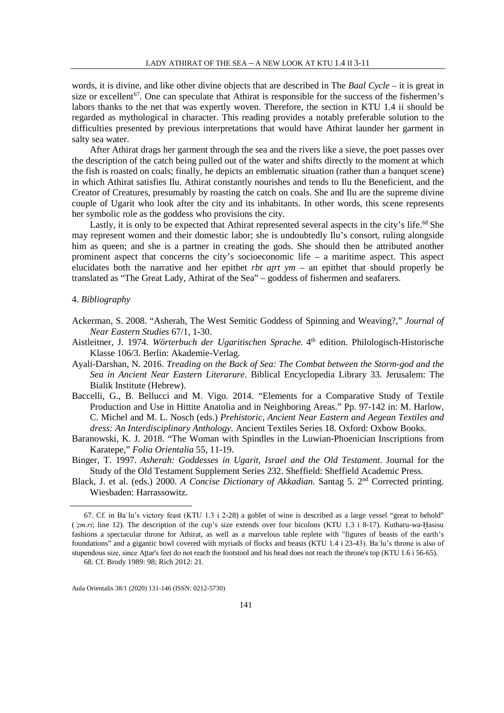words, it is divine, and like other divine objects that are described in The *Baal Cycle* – it is great in size or excellent<sup>[67](#page-10-0)</sup>. One can speculate that Athirat is responsible for the success of the fishermen's labors thanks to the net that was expertly woven. Therefore, the section in KTU 1.4 ii should be regarded as mythological in character. This reading provides a notably preferable solution to the difficulties presented by previous interpretations that would have Athirat launder her garment in salty sea water.

After Athirat drags her garment through the sea and the rivers like a sieve, the poet passes over the description of the catch being pulled out of the water and shifts directly to the moment at which the fish is roasted on coals; finally, he depicts an emblematic situation (rather than a banquet scene) in which Athirat satisfies Ilu. Athirat constantly nourishes and tends to Ilu the Beneficient, and the Creator of Creatures, presumably by roasting the catch on coals. She and Ilu are the supreme divine couple of Ugarit who look after the city and its inhabitants. In other words, this scene represents her symbolic role as the goddess who provisions the city.

Lastly, it is only to be expected that Athirat represented several aspects in the city's life.<sup>[68](#page-10-1)</sup> She may represent women and their domestic labor; she is undoubtedly Ilu's consort, ruling alongside him as queen; and she is a partner in creating the gods. She should then be attributed another prominent aspect that concerns the city's socioeconomic life – a maritime aspect. This aspect elucidates both the narrative and her epithet *rbt aṯrt ym* – an epithet that should properly be translated as "The Great Lady, Athirat of the Sea" – goddess of fishermen and seafarers.

#### 4. *Bibliography*

- Ackerman, S. 2008. "Asherah, The West Semitic Goddess of Spinning and Weaving?," *Journal of Near Eastern Studies* 67/1, 1-30.
- Aistleitner, J. 1974. *Wörterbuch der Ugaritischen Sprache.* 4th edition. Philologisch-Historische Klasse 106/3. Berlin: Akademie-Verlag.
- Ayali-Darshan, N. 2016. *Treading on the Back of Sea: The Combat between the Storm-god and the Sea in Ancient Near Eastern Literarure*. Biblical Encyclopedia Library 33. Jerusalem: The Bialik Institute (Hebrew).
- Baccelli, G., B. Bellucci and M. Vigo. 2014. "Elements for a Comparative Study of Textile Production and Use in Hittite Anatolia and in Neighboring Areas." Pp. 97-142 in: M. Harlow, C. Michel and M. L. Nosch (eds.) *Prehistoric, Ancient Near Eastern and Aegean Textiles and dress: An Interdisciplinary Anthology.* Ancient Textiles Series 18. Oxford: Oxbow Books.
- Baranowski, K. J. 2018. "The Woman with Spindles in the Luwian-Phoenician Inscriptions from Karatepe," *Folia Orientalia* 55, 11-19.
- Binger, T. 1997. *Asherah: Goddesses in Ugarit, Israel and the Old Testament*. Journal for the Study of the Old Testament Supplement Series 232. Sheffield: Sheffield Academic Press.
- Black, J. et al. (eds.) 2000. *A Concise Dictionary of Akkadian.* Santag 5. 2nd Corrected printing. Wiesbaden: Harrassowitz.

<span id="page-10-0"></span> <sup>67.</sup> <sup>C</sup>f. in Baʿlu's victory feast (KTU 1.3 i 2-28) a goblet of wine is described as a large vessel "great to behold" (*ʿẓm.ri*; line 12). The description of the cup's size extends over four bicolons (KTU 1.3 i 8-17). Kutharu-wa-Ḫasisu fashions a spectacular throne for Athirat, as well as a marvelous table replete with "figures of beasts of the earth's foundations" and a gigantic bowl covered with myriads of flocks and beasts (KTU 1.4 i 23-43). Baʿlu's throne is also of stupendous size, since Attar's feet do not reach the footstool and his head does not reach the throne's top (KTU 1.6 i 56-65).

<span id="page-10-1"></span><sup>68.</sup> Cf. Brody 1989: 98; Rich 2012: 21.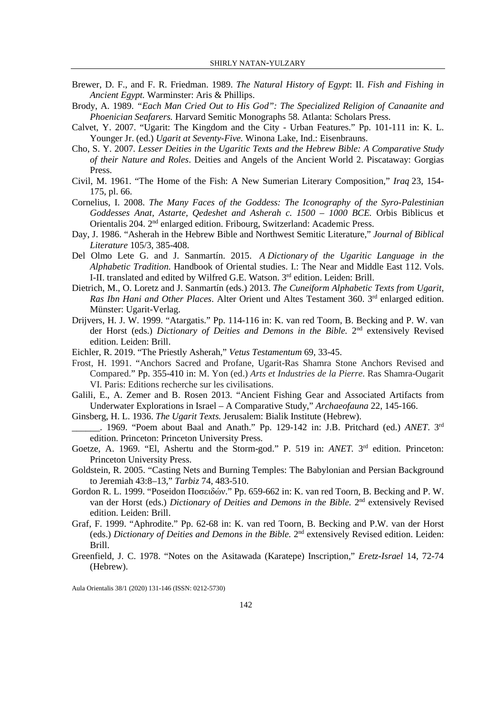- Brewer, D. F., and F. R. Friedman. 1989. *The Natural History of Egypt*: II. *Fish and Fishing in Ancient Egypt.* Warminster: Aris & Phillips.
- Brody, A. 1989. *"Each Man Cried Out to His God": The Specialized Religion of Canaanite and Phoenician Seafarers.* Harvard Semitic Monographs 58. Atlanta: Scholars Press.
- Calvet, Y. 2007. "Ugarit: The Kingdom and the City Urban Features." Pp. 101-111 in: K. L. Younger Jr. (ed.) *Ugarit at Seventy-Five.* Winona Lake, Ind.: Eisenbrauns.
- Cho, S. Y. 2007. *Lesser Deities in the Ugaritic Texts and the Hebrew Bible: A Comparative Study of their Nature and Roles*. Deities and Angels of the Ancient World 2. Piscataway: Gorgias Press.
- Civil, M. 1961. "The Home of the Fish: A New Sumerian Literary Composition," *Iraq* 23, 154- 175, pl. 66.
- Cornelius, I. 2008. *The Many Faces of the Goddess: The Iconography of the Syro-Palestinian Goddesses Anat, Astarte, Qedeshet and Asherah c. 1500 – 1000 BCE.* Orbis Biblicus et Orientalis 204. 2nd enlarged edition. Fribourg, Switzerland: Academic Press.
- Day, J. 1986. "Asherah in the Hebrew Bible and Northwest Semitic Literature," *Journal of Biblical Literature* 105/3, 385-408.
- Del Olmo Lete G. and J. Sanmartín. 2015. *A Dictionary of the Ugaritic Language in the Alphabetic Tradition*. Handbook of Oriental studies. I.: The Near and Middle East 112. Vols. I-II. translated and edited by Wilfred G.E. Watson. 3rd edition. Leiden: Brill.
- Dietrich, M., O. Loretz and J. Sanmartín (eds.) 2013. *The Cuneiform Alphabetic Texts from Ugarit, Ras Ibn Hani and Other Places.* Alter Orient und Altes Testament 360. 3<sup>rd</sup> enlarged edition. Münster: Ugarit-Verlag.
- Drijvers, H. J. W. 1999. "Atargatis." Pp. 114-116 in: K. van red Toorn, B. Becking and P. W. van der Horst (eds.) *Dictionary of Deities and Demons in the Bible.* 2nd extensively Revised edition. Leiden: Brill.
- Eichler, R. 2019. "The Priestly Asherah," *Vetus Testamentum* 69, 33-45.
- Frost, H. 1991. "Anchors Sacred and Profane, Ugarit-Ras Shamra Stone Anchors Revised and Compared." Pp. 355-410 in: M. Yon (ed.) *Arts et Industries de la Pierre*. Ras Shamra-Ougarit VI. Paris: Editions recherche sur les civilisations.
- Galili, E., A. Zemer and B. Rosen 2013. "Ancient Fishing Gear and Associated Artifacts from Underwater Explorations in Israel – A Comparative Study," *Archaeofauna* 22, 145-166.
- Ginsberg, H. L. 1936. *The Ugarit Texts.* Jerusalem: Bialik Institute (Hebrew).
- \_\_\_\_\_\_. 1969. "Poem about Baal and Anath." Pp. 129-142 in: J.B. Pritchard (ed.) *ANET*. 3rd edition. Princeton: Princeton University Press.
- Goetze, A. 1969. "El, Ashertu and the Storm-god." P. 519 in: *ANET*. 3<sup>rd</sup> edition. Princeton: Princeton University Press.
- Goldstein, R. 2005. "Casting Nets and Burning Temples: The Babylonian and Persian Background to Jeremiah 43:8–13," *Tarbiz* 74, 483-510.
- Gordon R. L. 1999. "Poseidon Ποσειδών." Pp. 659-662 in: K. van red Toorn, B. Becking and P. W. van der Horst (eds.) *Dictionary of Deities and Demons in the Bible.* 2nd extensively Revised edition. Leiden: Brill.
- Graf, F. 1999. "Aphrodite." Pp. 62-68 in: K. van red Toorn, B. Becking and P.W. van der Horst (eds.) *Dictionary of Deities and Demons in the Bible.* 2nd extensively Revised edition. Leiden: Brill.
- Greenfield, J. C. 1978. "Notes on the Asitawada (Karatepe) Inscription," *Eretz-Israel* 14, 72-74 (Hebrew).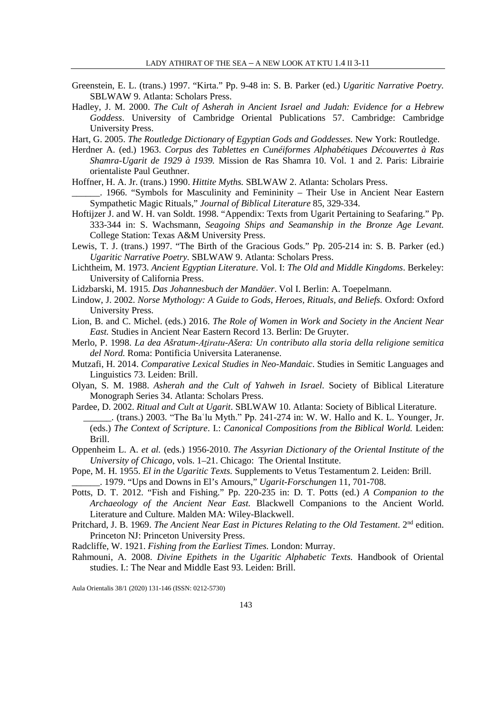- Greenstein, E. L. (trans.) 1997. "Kirta." Pp. 9-48 in: S. B. Parker (ed.) *Ugaritic Narrative Poetry.*  SBLWAW 9. Atlanta: Scholars Press.
- Hadley, J. M. 2000. *The Cult of Asherah in Ancient Israel and Judah: Evidence for a Hebrew Goddess*. University of Cambridge Oriental Publications 57. Cambridge: Cambridge University Press.

Hart, G. 2005. *The Routledge Dictionary of Egyptian Gods and Goddesses.* New York: Routledge.

- Herdner A. (ed.) 1963. *Corpus des Tablettes en Cunéiformes Alphabétiques Découvertes à Ras Shamra-Ugarit de 1929 à 1939.* Mission de Ras Shamra 10. Vol. 1 and 2. Paris: Librairie orientaliste Paul Geuthner.
- Hoffner, H. A. Jr. (trans.) 1990. *Hittite Myths.* SBLWAW 2. Atlanta: Scholars Press.
- \_\_\_\_\_\_. 1966. "Symbols for Masculinity and Femininity Their Use in Ancient Near Eastern Sympathetic Magic Rituals," *Journal of Biblical Literature* 85, 329-334.
- Hoftijzer J. and W. H. van Soldt. 1998. "Appendix: Texts from Ugarit Pertaining to Seafaring." Pp. 333-344 in: S. Wachsmann, *Seagoing Ships and Seamanship in the Bronze Age Levant.* College Station: Texas A&M University Press.
- Lewis, T. J. (trans.) 1997. "The Birth of the Gracious Gods." Pp. 205-214 in: S. B. Parker (ed.) *Ugaritic Narrative Poetry.* SBLWAW 9. Atlanta: Scholars Press.
- Lichtheim, M. 1973. *Ancient Egyptian Literature*. Vol. I: *The Old and Middle Kingdoms*. Berkeley: University of California Press.
- Lidzbarski, M. 1915. *Das Johannesbuch der Mandäer*. Vol I. Berlin: A. Toepelmann.
- Lindow, J. 2002. *Norse Mythology: A Guide to Gods, Heroes, Rituals, and Beliefs.* Oxford: Oxford University Press.
- Lion, B. and C. Michel. (eds.) 2016. *The Role of Women in Work and Society in the Ancient Near East.* Studies in Ancient Near Eastern Record 13. Berlin: De Gruyter.
- Merlo, P. 1998. *La dea Ašratum-Aṯiratu-Ašera: Un contributo alla storia della religione semitica del Nord.* Roma: Pontificia Universita Lateranense.
- Mutzafi, H. 2014. *Comparative Lexical Studies in Neo-Mandaic*. Studies in Semitic Languages and Linguistics 73. Leiden: Brill.
- Olyan, S. M. 1988. *Asherah and the Cult of Yahweh in Israel.* Society of Biblical Literature Monograph Series 34. Atlanta: Scholars Press.
- Pardee, D. 2002. *Ritual and Cult at Ugarit*. SBLWAW 10. Atlanta: Society of Biblical Literature. \_\_\_\_\_\_. (trans.) 2003. "The Baʿlu Myth." Pp. 241-274 in: W. W. Hallo and K. L. Younger, Jr. (eds.) *The Context of Scripture*. I.: *Canonical Compositions from the Biblical World.* Leiden: Brill.
- Oppenheim L. A. *et al.* (eds.) 1956-2010. *The Assyrian Dictionary of the Oriental Institute of the University of Chicago*, vols. 1–21. Chicago: The Oriental Institute.
- Pope, M. H. 1955. *El in the Ugaritic Texts.* Supplements to Vetus Testamentum 2. Leiden: Brill. \_\_\_\_\_\_. 1979. "Ups and Downs in El's Amours," *Ugarit-Forschungen* 11, 701-708.
- Potts, D. T. 2012. "Fish and Fishing." Pp. 220-235 in: D. T. Potts (ed.) *A Companion to the Archaeology of the Ancient Near East.* Blackwell Companions to the Ancient World. Literature and Culture. Malden MA: Wiley-Blackwell.
- Pritchard, J. B. 1969. *The Ancient Near East in Pictures Relating to the Old Testament*. 2nd edition. Princeton NJ: Princeton University Press.
- Radcliffe, W. 1921. *Fishing from the Earliest Times.* London: Murray.
- Rahmouni, A. 2008. *Divine Epithets in the Ugaritic Alphabetic Texts.* Handbook of Oriental studies. I.: The Near and Middle East 93. Leiden: Brill.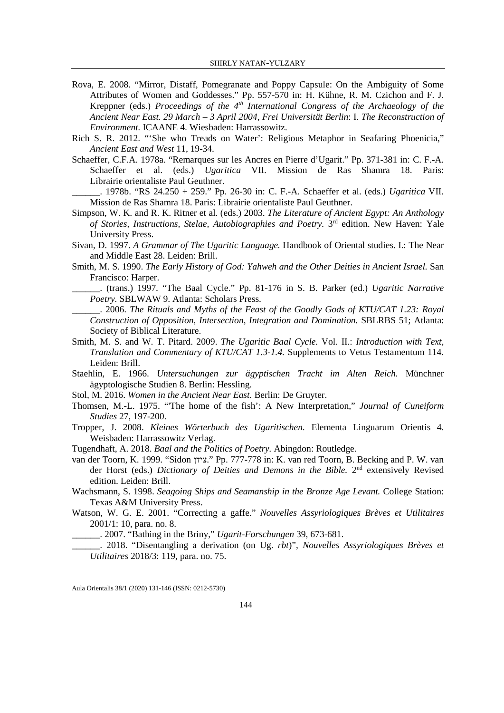- Rova, E. 2008. "Mirror, Distaff, Pomegranate and Poppy Capsule: On the Ambiguity of Some Attributes of Women and Goddesses." Pp. 557-570 in: H. Kühne, R. M. Czichon and F. J. Kreppner (eds.) *Proceedings of the 4th International Congress of the Archaeology of the Ancient Near East. 29 March – 3 April 2004*, *Frei Universität Berlin*: I. *The Reconstruction of Environment.* ICAANE 4. Wiesbaden: Harrassowitz.
- Rich S. R. 2012. "'She who Treads on Water': Religious Metaphor in Seafaring Phoenicia," *Ancient East and West* 11, 19-34.
- Schaeffer, C.F.A. 1978a. "Remarques sur les Ancres en Pierre d'Ugarit." Pp. 371-381 in: C. F.-A. Schaeffer et al. (eds.) *Ugaritica* VII. Mission de Ras Shamra 18. Paris: Librairie orientaliste Paul Geuthner.
- \_\_\_\_\_\_. 1978b. "RS 24.250 + 259." Pp. 26-30 in: C. F.-A. Schaeffer et al. (eds.) *Ugaritica* VII. Mission de Ras Shamra 18. Paris: Librairie orientaliste Paul Geuthner.
- Simpson, W. K. and R. K. Ritner et al. (eds.) 2003. *The Literature of Ancient Egypt: An Anthology of Stories, Instructions, Stelae, Autobiographies and Poetry.* 3rd edition. New Haven: Yale University Press.
- Sivan, D. 1997. *A Grammar of The Ugaritic Language.* Handbook of Oriental studies. I.: The Near and Middle East 28. Leiden: Brill.
- Smith, M. S. 1990. *The Early History of God: Yahweh and the Other Deities in Ancient Israel.* San Francisco: Harper.

\_\_\_\_\_\_. (trans.) 1997. "The Baal Cycle." Pp. 81-176 in S. B. Parker (ed.) *Ugaritic Narrative Poetry.* SBLWAW 9. Atlanta: Scholars Press.

- \_\_\_\_\_\_. 2006. *The Rituals and Myths of the Feast of the Goodly Gods of KTU/CAT 1.23: Royal Construction of Opposition, Intersection, Integration and Domination.* SBLRBS 51; Atlanta: Society of Biblical Literature.
- Smith, M. S. and W. T. Pitard. 2009. *The Ugaritic Baal Cycle.* Vol. II.: *Introduction with Text, Translation and Commentary of KTU/CAT 1.3-1.4.* Supplements to Vetus Testamentum 114. Leiden: Brill.
- Staehlin, E. 1966. *Untersuchungen zur ägyptischen Tracht im Alten Reich.* Münchner ägyptologische Studien 8. Berlin: Hessling.
- Stol, M. 2016. *Women in the Ancient Near East.* Berlin: De Gruyter.
- Thomsen, M.-L. 1975. "'The home of the fish': A New Interpretation," *Journal of Cuneiform Studies* 27, 197-200.
- Tropper, J. 2008. *Kleines Wörterbuch des Ugaritischen.* Elementa Linguarum Orientis 4. Weisbaden: Harrassowitz Verlag.
- Tugendhaft, A. 2018. *Baal and the Politics of Poetry.* Abingdon: Routledge.
- van der Toorn, K. 1999. "Sidon צידן. "Pp. 777-778 in: K. van red Toorn, B. Becking and P. W. van der Horst (eds.) *Dictionary of Deities and Demons in the Bible*. 2<sup>nd</sup> extensively Revised edition. Leiden: Brill.
- Wachsmann, S. 1998. *Seagoing Ships and Seamanship in the Bronze Age Levant.* College Station: Texas A&M University Press.
- Watson, W. G. E. 2001. "Correcting a gaffe." *Nouvelles Assyriologiques Brèves et Utilitaires* 2001/1: 10, para. no. 8.
	- \_\_\_\_\_\_. 2007. "Bathing in the Briny," *Ugarit-Forschungen* 39, 673-681.
- \_\_\_\_\_\_. 2018. "Disentangling a derivation (on Ug. *rbt*)", *Nouvelles Assyriologiques Brèves et Utilitaires* 2018/3: 119, para. no. 75.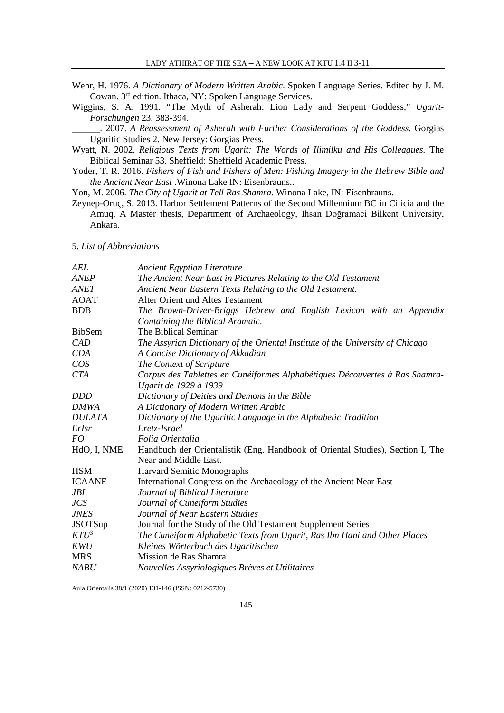- Wehr, H. 1976. *A Dictionary of Modern Written Arabic*. Spoken Language Series. Edited by J. M. Cowan. 3rd edition. Ithaca, NY: Spoken Language Services.
- Wiggins, S. A. 1991. "The Myth of Asherah: Lion Lady and Serpent Goddess," *Ugarit-Forschungen* 23, 383-394.

\_\_\_\_\_\_. 2007. *A Reassessment of Asherah with Further Considerations of the Goddess.* Gorgias Ugaritic Studies 2. New Jersey: Gorgias Press.

- Wyatt, N. 2002. *Religious Texts from Ugarit: The Words of Ilimilku and His Colleagues.* The Biblical Seminar 53. Sheffield: Sheffield Academic Press.
- Yoder, T. R. 2016. *Fishers of Fish and Fishers of Men: Fishing Imagery in the Hebrew Bible and the Ancient Near East* .Winona Lake IN: Eisenbrauns..

Yon, M. 2006. *The City of Ugarit at Tell Ras Shamra.* Winona Lake, IN: Eisenbrauns.

Zeynep-Oruç, S. 2013. Harbor Settlement Patterns of the Second Millennium BC in Cilicia and the Amuq. A Master thesis, Department of Archaeology, Ihsan Doğramaci Bilkent University, Ankara.

5. *List of Abbreviations*

| AEL             | Ancient Egyptian Literature                                                    |  |  |
|-----------------|--------------------------------------------------------------------------------|--|--|
| ANEP            | The Ancient Near East in Pictures Relating to the Old Testament                |  |  |
| <i>ANET</i>     | Ancient Near Eastern Texts Relating to the Old Testament.                      |  |  |
| <b>AOAT</b>     | Alter Orient und Altes Testament                                               |  |  |
| <b>BDB</b>      | The Brown-Driver-Briggs Hebrew and English Lexicon with an Appendix            |  |  |
|                 | Containing the Biblical Aramaic.                                               |  |  |
| <b>BibSem</b>   | The Biblical Seminar                                                           |  |  |
| CAD             | The Assyrian Dictionary of the Oriental Institute of the University of Chicago |  |  |
| <b>CDA</b>      | A Concise Dictionary of Akkadian                                               |  |  |
| $\cos$          | The Context of Scripture                                                       |  |  |
| <b>CTA</b>      | Corpus des Tablettes en Cunéiformes Alphabétiques Découvertes à Ras Shamra-    |  |  |
|                 | Ugarit de 1929 à 1939                                                          |  |  |
| <b>DDD</b>      | Dictionary of Deities and Demons in the Bible                                  |  |  |
| DMWA            | A Dictionary of Modern Written Arabic                                          |  |  |
| <i>DULATA</i>   | Dictionary of the Ugaritic Language in the Alphabetic Tradition                |  |  |
| ErIsr           | Eretz-Israel                                                                   |  |  |
| FO <sub>.</sub> | Folia Orientalia                                                               |  |  |
| HdO, I, NME     | Handbuch der Orientalistik (Eng. Handbook of Oriental Studies), Section I, The |  |  |
|                 | Near and Middle East.                                                          |  |  |
| <b>HSM</b>      | Harvard Semitic Monographs                                                     |  |  |
| <b>ICAANE</b>   | International Congress on the Archaeology of the Ancient Near East             |  |  |
| JBL             | Journal of Biblical Literature                                                 |  |  |
| <b>JCS</b>      | Journal of Cuneiform Studies                                                   |  |  |
| <b>JNES</b>     | Journal of Near Eastern Studies                                                |  |  |
| <b>JSOTSup</b>  | Journal for the Study of the Old Testament Supplement Series                   |  |  |
| $KTU^3$         | The Cuneiform Alphabetic Texts from Ugarit, Ras Ibn Hani and Other Places      |  |  |
| <b>KWU</b>      | Kleines Wörterbuch des Ugaritischen                                            |  |  |
| <b>MRS</b>      | Mission de Ras Shamra                                                          |  |  |
| <i>NABU</i>     | Nouvelles Assyriologiques Brèves et Utilitaires                                |  |  |